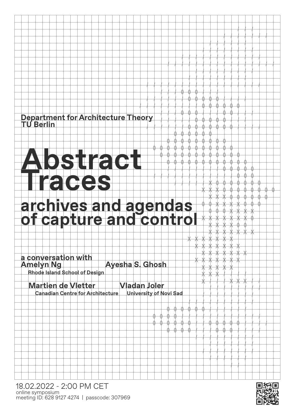## Department for Architecture Theory<br>TU Berlin

## bstract aces archives and agendas<br>of capture and control

a conversation with Ayesha S. Ghosh **Amelyn Ng Rhode Island School of Design** 

**Martien de Vletter Vladan Joler Canadian Centre for Architecture University of Novi Sad**